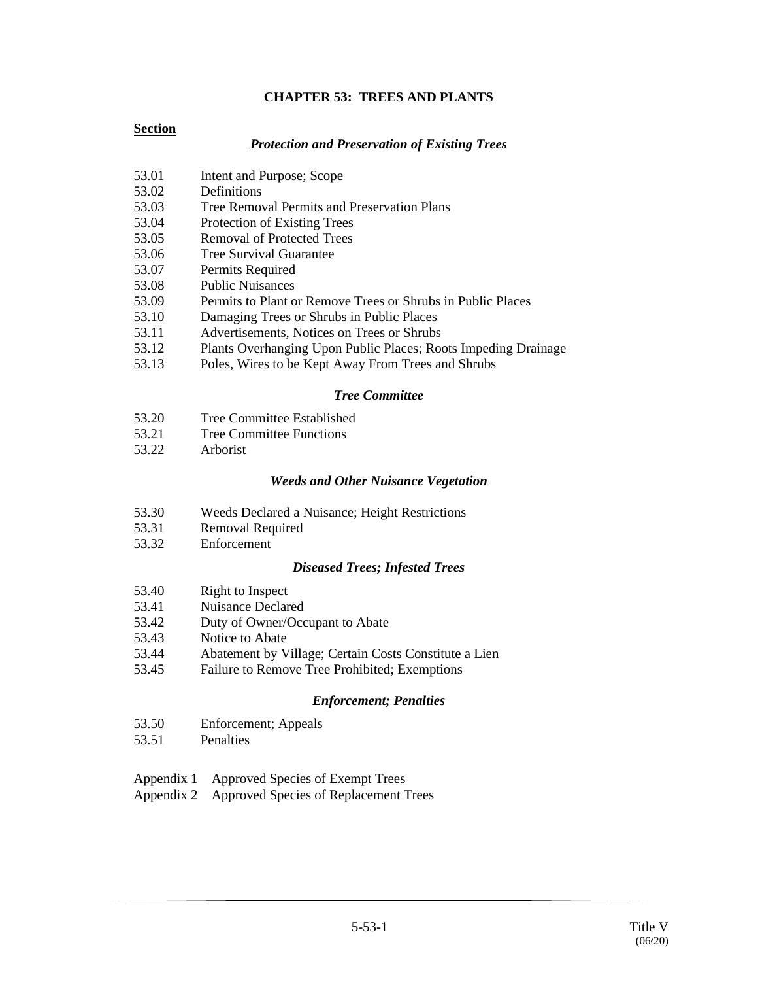# **CHAPTER 53: TREES AND PLANTS**

#### **Section**

#### *Protection and Preservation of Existing Trees*

- 53.01 Intent and Purpose; Scope
- 53.02 Definitions
- 53.03 Tree Removal Permits and Preservation Plans
- 53.04 Protection of Existing Trees
- 53.05 Removal of Protected Trees
- 53.06 Tree Survival Guarantee
- 53.07 Permits Required
- 53.08 Public Nuisances
- 53.09 Permits to Plant or Remove Trees or Shrubs in Public Places
- 53.10 Damaging Trees or Shrubs in Public Places
- 53.11 Advertisements, Notices on Trees or Shrubs
- 53.12 Plants Overhanging Upon Public Places; Roots Impeding Drainage
- 53.13 Poles, Wires to be Kept Away From Trees and Shrubs

#### *Tree Committee*

- 53.20 Tree Committee Established
- 53.21 Tree Committee Functions
- 53.22 Arborist

#### *Weeds and Other Nuisance Vegetation*

- 53.30 Weeds Declared a Nuisance; Height Restrictions
- 53.31 Removal Required
- 53.32 Enforcement

#### *Diseased Trees; Infested Trees*

- 53.40 Right to Inspect
- 53.41 Nuisance Declared
- 53.42 Duty of Owner/Occupant to Abate
- 53.43 Notice to Abate
- 53.44 Abatement by Village; Certain Costs Constitute a Lien
- 53.45 Failure to Remove Tree Prohibited; Exemptions

#### *Enforcement; Penalties*

- 53.50 Enforcement; Appeals
- 53.51 Penalties
- Appendix 1 Approved Species of Exempt Trees
- Appendix 2 Approved Species of Replacement Trees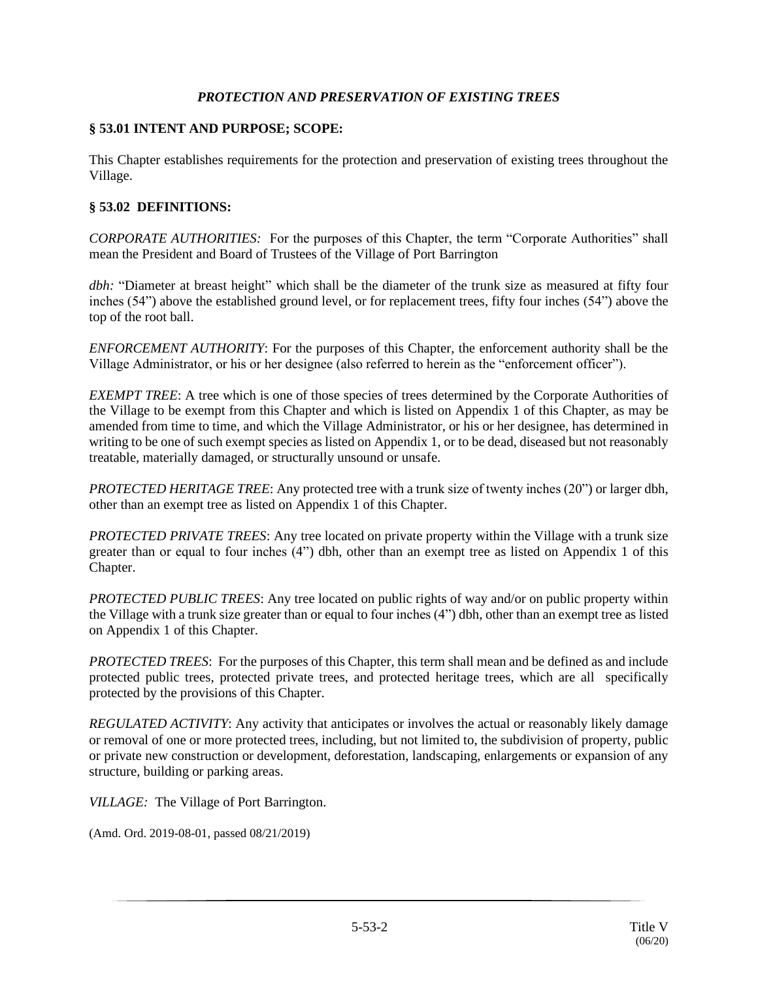#### *PROTECTION AND PRESERVATION OF EXISTING TREES*

#### **§ 53.01 INTENT AND PURPOSE; SCOPE:**

This Chapter establishes requirements for the protection and preservation of existing trees throughout the Village.

## **§ 53.02 DEFINITIONS:**

*CORPORATE AUTHORITIES:* For the purposes of this Chapter, the term "Corporate Authorities" shall mean the President and Board of Trustees of the Village of Port Barrington

*dbh:* "Diameter at breast height" which shall be the diameter of the trunk size as measured at fifty four inches (54") above the established ground level, or for replacement trees, fifty four inches (54") above the top of the root ball.

*ENFORCEMENT AUTHORITY*: For the purposes of this Chapter, the enforcement authority shall be the Village Administrator, or his or her designee (also referred to herein as the "enforcement officer").

*EXEMPT TREE*: A tree which is one of those species of trees determined by the Corporate Authorities of the Village to be exempt from this Chapter and which is listed on Appendix 1 of this Chapter, as may be amended from time to time, and which the Village Administrator, or his or her designee, has determined in writing to be one of such exempt species as listed on Appendix 1, or to be dead, diseased but not reasonably treatable, materially damaged, or structurally unsound or unsafe.

*PROTECTED HERITAGE TREE*: Any protected tree with a trunk size of twenty inches (20") or larger dbh, other than an exempt tree as listed on Appendix 1 of this Chapter.

*PROTECTED PRIVATE TREES*: Any tree located on private property within the Village with a trunk size greater than or equal to four inches (4") dbh, other than an exempt tree as listed on Appendix 1 of this Chapter.

*PROTECTED PUBLIC TREES*: Any tree located on public rights of way and/or on public property within the Village with a trunk size greater than or equal to four inches (4") dbh, other than an exempt tree as listed on Appendix 1 of this Chapter.

*PROTECTED TREES*: For the purposes of this Chapter, this term shall mean and be defined as and include protected public trees, protected private trees, and protected heritage trees, which are all specifically protected by the provisions of this Chapter.

*REGULATED ACTIVITY*: Any activity that anticipates or involves the actual or reasonably likely damage or removal of one or more protected trees, including, but not limited to, the subdivision of property, public or private new construction or development, deforestation, landscaping, enlargements or expansion of any structure, building or parking areas.

*VILLAGE:* The Village of Port Barrington.

(Amd. Ord. 2019-08-01, passed 08/21/2019)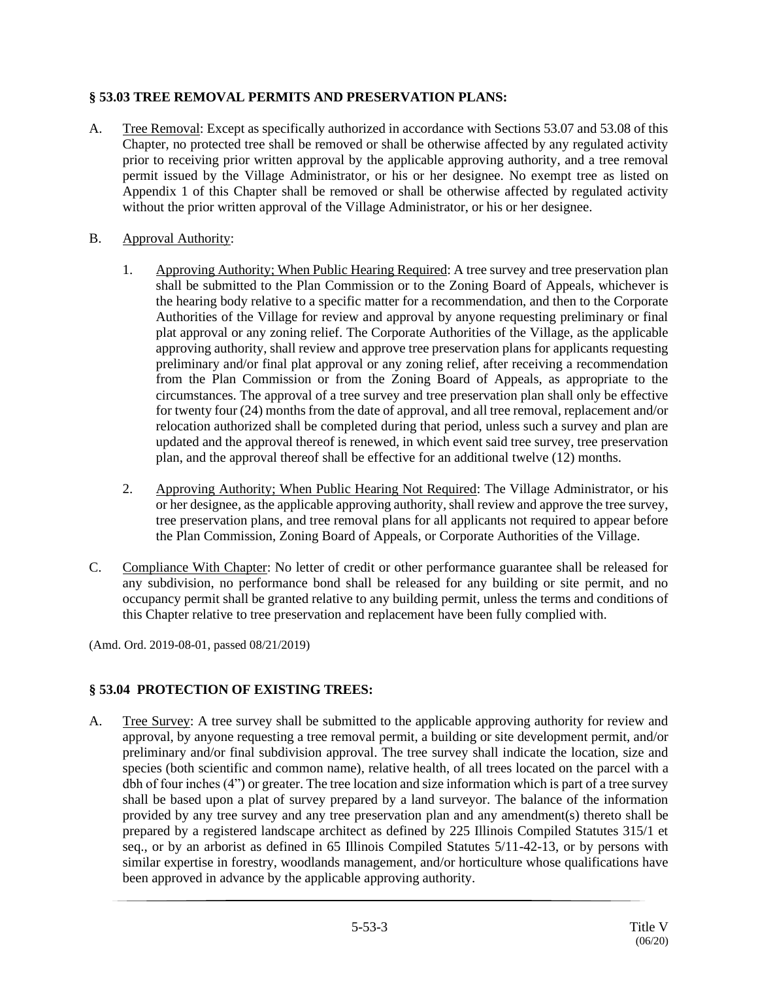# **§ 53.03 TREE REMOVAL PERMITS AND PRESERVATION PLANS:**

- A. Tree Removal: Except as specifically authorized in accordance with Sections 53.07 and 53.08 of this Chapter, no protected tree shall be removed or shall be otherwise affected by any regulated activity prior to receiving prior written approval by the applicable approving authority, and a tree removal permit issued by the Village Administrator, or his or her designee. No exempt tree as listed on Appendix 1 of this Chapter shall be removed or shall be otherwise affected by regulated activity without the prior written approval of the Village Administrator, or his or her designee.
- B. Approval Authority:
	- 1. Approving Authority; When Public Hearing Required: A tree survey and tree preservation plan shall be submitted to the Plan Commission or to the Zoning Board of Appeals, whichever is the hearing body relative to a specific matter for a recommendation, and then to the Corporate Authorities of the Village for review and approval by anyone requesting preliminary or final plat approval or any zoning relief. The Corporate Authorities of the Village, as the applicable approving authority, shall review and approve tree preservation plans for applicants requesting preliminary and/or final plat approval or any zoning relief, after receiving a recommendation from the Plan Commission or from the Zoning Board of Appeals, as appropriate to the circumstances. The approval of a tree survey and tree preservation plan shall only be effective for twenty four (24) months from the date of approval, and all tree removal, replacement and/or relocation authorized shall be completed during that period, unless such a survey and plan are updated and the approval thereof is renewed, in which event said tree survey, tree preservation plan, and the approval thereof shall be effective for an additional twelve (12) months.
	- 2. Approving Authority; When Public Hearing Not Required: The Village Administrator, or his or her designee, as the applicable approving authority, shall review and approve the tree survey, tree preservation plans, and tree removal plans for all applicants not required to appear before the Plan Commission, Zoning Board of Appeals, or Corporate Authorities of the Village.
- C. Compliance With Chapter: No letter of credit or other performance guarantee shall be released for any subdivision, no performance bond shall be released for any building or site permit, and no occupancy permit shall be granted relative to any building permit, unless the terms and conditions of this Chapter relative to tree preservation and replacement have been fully complied with.

(Amd. Ord. 2019-08-01, passed 08/21/2019)

# **§ 53.04 PROTECTION OF EXISTING TREES:**

A. Tree Survey: A tree survey shall be submitted to the applicable approving authority for review and approval, by anyone requesting a tree removal permit, a building or site development permit, and/or preliminary and/or final subdivision approval. The tree survey shall indicate the location, size and species (both scientific and common name), relative health, of all trees located on the parcel with a dbh of four inches (4") or greater. The tree location and size information which is part of a tree survey shall be based upon a plat of survey prepared by a land surveyor. The balance of the information provided by any tree survey and any tree preservation plan and any amendment(s) thereto shall be prepared by a registered landscape architect as defined by 225 Illinois Compiled Statutes 315/1 et seq., or by an arborist as defined in 65 Illinois Compiled Statutes 5/11-42-13, or by persons with similar expertise in forestry, woodlands management, and/or horticulture whose qualifications have been approved in advance by the applicable approving authority.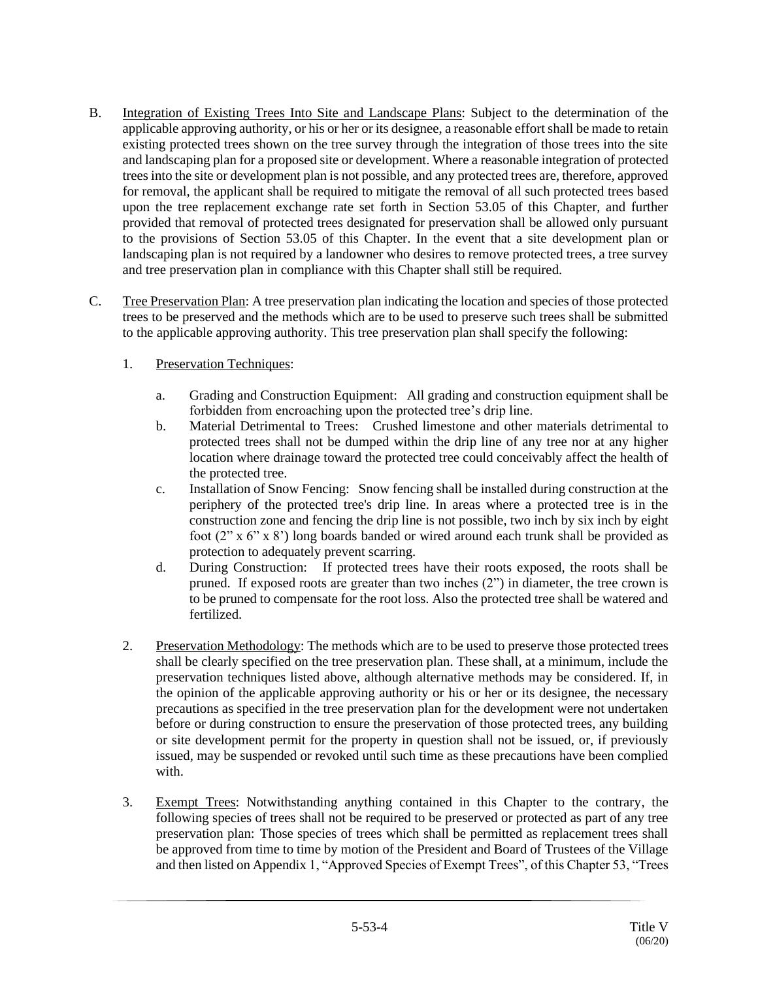- B. Integration of Existing Trees Into Site and Landscape Plans: Subject to the determination of the applicable approving authority, or his or her or its designee, a reasonable effort shall be made to retain existing protected trees shown on the tree survey through the integration of those trees into the site and landscaping plan for a proposed site or development. Where a reasonable integration of protected trees into the site or development plan is not possible, and any protected trees are, therefore, approved for removal, the applicant shall be required to mitigate the removal of all such protected trees based upon the tree replacement exchange rate set forth in Section 53.05 of this Chapter, and further provided that removal of protected trees designated for preservation shall be allowed only pursuant to the provisions of Section 53.05 of this Chapter. In the event that a site development plan or landscaping plan is not required by a landowner who desires to remove protected trees, a tree survey and tree preservation plan in compliance with this Chapter shall still be required.
- C. Tree Preservation Plan: A tree preservation plan indicating the location and species of those protected trees to be preserved and the methods which are to be used to preserve such trees shall be submitted to the applicable approving authority. This tree preservation plan shall specify the following:

## 1. Preservation Techniques:

- a. Grading and Construction Equipment: All grading and construction equipment shall be forbidden from encroaching upon the protected tree's drip line.
- b. Material Detrimental to Trees: Crushed limestone and other materials detrimental to protected trees shall not be dumped within the drip line of any tree nor at any higher location where drainage toward the protected tree could conceivably affect the health of the protected tree.
- c. Installation of Snow Fencing: Snow fencing shall be installed during construction at the periphery of the protected tree's drip line. In areas where a protected tree is in the construction zone and fencing the drip line is not possible, two inch by six inch by eight foot  $(2" x 6" x 8')$  long boards banded or wired around each trunk shall be provided as protection to adequately prevent scarring.
- d. During Construction: If protected trees have their roots exposed, the roots shall be pruned. If exposed roots are greater than two inches (2") in diameter, the tree crown is to be pruned to compensate for the root loss. Also the protected tree shall be watered and fertilized.
- 2. Preservation Methodology: The methods which are to be used to preserve those protected trees shall be clearly specified on the tree preservation plan. These shall, at a minimum, include the preservation techniques listed above, although alternative methods may be considered. If, in the opinion of the applicable approving authority or his or her or its designee, the necessary precautions as specified in the tree preservation plan for the development were not undertaken before or during construction to ensure the preservation of those protected trees, any building or site development permit for the property in question shall not be issued, or, if previously issued, may be suspended or revoked until such time as these precautions have been complied with.
- 3. Exempt Trees: Notwithstanding anything contained in this Chapter to the contrary, the following species of trees shall not be required to be preserved or protected as part of any tree preservation plan: Those species of trees which shall be permitted as replacement trees shall be approved from time to time by motion of the President and Board of Trustees of the Village and then listed on Appendix 1, "Approved Species of Exempt Trees", of this Chapter 53, "Trees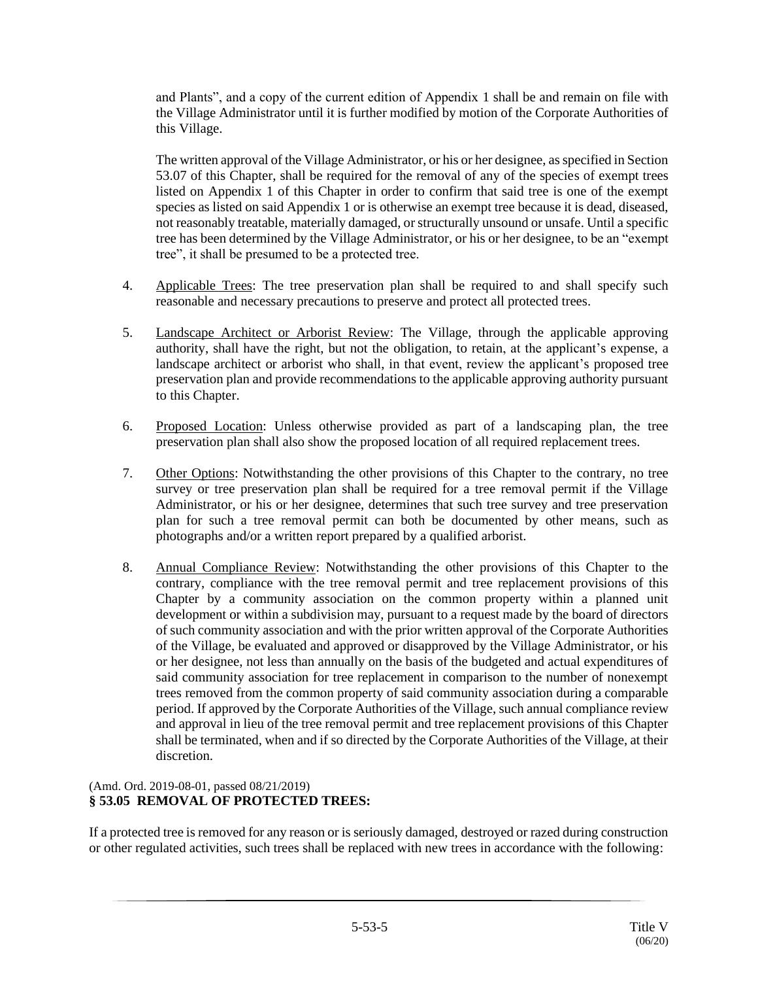and Plants", and a copy of the current edition of Appendix 1 shall be and remain on file with the Village Administrator until it is further modified by motion of the Corporate Authorities of this Village.

The written approval of the Village Administrator, or his or her designee, as specified in Section 53.07 of this Chapter, shall be required for the removal of any of the species of exempt trees listed on Appendix 1 of this Chapter in order to confirm that said tree is one of the exempt species as listed on said Appendix 1 or is otherwise an exempt tree because it is dead, diseased, not reasonably treatable, materially damaged, or structurally unsound or unsafe. Until a specific tree has been determined by the Village Administrator, or his or her designee, to be an "exempt tree", it shall be presumed to be a protected tree.

- 4. Applicable Trees: The tree preservation plan shall be required to and shall specify such reasonable and necessary precautions to preserve and protect all protected trees.
- 5. Landscape Architect or Arborist Review: The Village, through the applicable approving authority, shall have the right, but not the obligation, to retain, at the applicant's expense, a landscape architect or arborist who shall, in that event, review the applicant's proposed tree preservation plan and provide recommendations to the applicable approving authority pursuant to this Chapter.
- 6. Proposed Location: Unless otherwise provided as part of a landscaping plan, the tree preservation plan shall also show the proposed location of all required replacement trees.
- 7. Other Options: Notwithstanding the other provisions of this Chapter to the contrary, no tree survey or tree preservation plan shall be required for a tree removal permit if the Village Administrator, or his or her designee, determines that such tree survey and tree preservation plan for such a tree removal permit can both be documented by other means, such as photographs and/or a written report prepared by a qualified arborist.
- 8. Annual Compliance Review: Notwithstanding the other provisions of this Chapter to the contrary, compliance with the tree removal permit and tree replacement provisions of this Chapter by a community association on the common property within a planned unit development or within a subdivision may, pursuant to a request made by the board of directors of such community association and with the prior written approval of the Corporate Authorities of the Village, be evaluated and approved or disapproved by the Village Administrator, or his or her designee, not less than annually on the basis of the budgeted and actual expenditures of said community association for tree replacement in comparison to the number of nonexempt trees removed from the common property of said community association during a comparable period. If approved by the Corporate Authorities of the Village, such annual compliance review and approval in lieu of the tree removal permit and tree replacement provisions of this Chapter shall be terminated, when and if so directed by the Corporate Authorities of the Village, at their discretion.

#### (Amd. Ord. 2019-08-01, passed 08/21/2019) **§ 53.05 REMOVAL OF PROTECTED TREES:**

If a protected tree is removed for any reason or is seriously damaged, destroyed or razed during construction or other regulated activities, such trees shall be replaced with new trees in accordance with the following: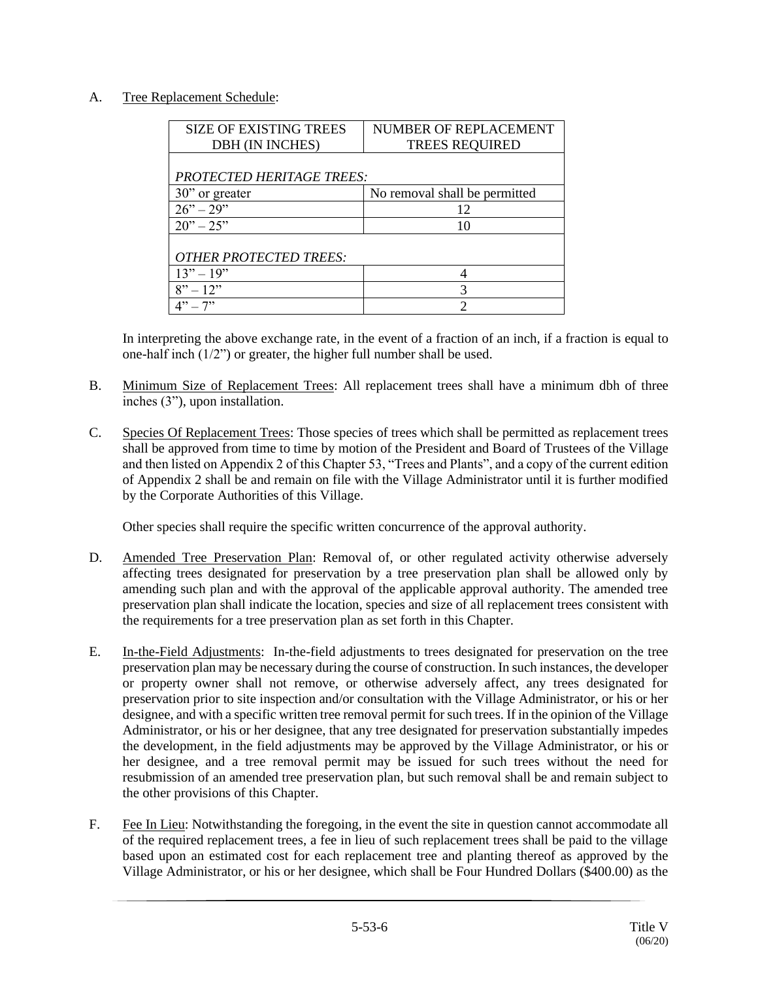## A. Tree Replacement Schedule:

| <b>SIZE OF EXISTING TREES</b>    | NUMBER OF REPLACEMENT         |  |
|----------------------------------|-------------------------------|--|
| DBH (IN INCHES)                  | <b>TREES REQUIRED</b>         |  |
|                                  |                               |  |
| <b>PROTECTED HERITAGE TREES:</b> |                               |  |
| 30" or greater                   | No removal shall be permitted |  |
| $26" - 29"$                      | 12                            |  |
| $20" - 25"$                      | 10                            |  |
|                                  |                               |  |
| <b>OTHER PROTECTED TREES:</b>    |                               |  |
| $13" - 19"$                      |                               |  |
| $8" - 12"$                       | 3                             |  |
| $-7"$                            |                               |  |

In interpreting the above exchange rate, in the event of a fraction of an inch, if a fraction is equal to one-half inch (1/2") or greater, the higher full number shall be used.

- B. Minimum Size of Replacement Trees: All replacement trees shall have a minimum dbh of three inches (3"), upon installation.
- C. Species Of Replacement Trees: Those species of trees which shall be permitted as replacement trees shall be approved from time to time by motion of the President and Board of Trustees of the Village and then listed on Appendix 2 of this Chapter 53, "Trees and Plants", and a copy of the current edition of Appendix 2 shall be and remain on file with the Village Administrator until it is further modified by the Corporate Authorities of this Village.

Other species shall require the specific written concurrence of the approval authority.

- D. Amended Tree Preservation Plan: Removal of, or other regulated activity otherwise adversely affecting trees designated for preservation by a tree preservation plan shall be allowed only by amending such plan and with the approval of the applicable approval authority. The amended tree preservation plan shall indicate the location, species and size of all replacement trees consistent with the requirements for a tree preservation plan as set forth in this Chapter.
- E. In-the-Field Adjustments: In-the-field adjustments to trees designated for preservation on the tree preservation plan may be necessary during the course of construction. In such instances, the developer or property owner shall not remove, or otherwise adversely affect, any trees designated for preservation prior to site inspection and/or consultation with the Village Administrator, or his or her designee, and with a specific written tree removal permit for such trees. If in the opinion of the Village Administrator, or his or her designee, that any tree designated for preservation substantially impedes the development, in the field adjustments may be approved by the Village Administrator, or his or her designee, and a tree removal permit may be issued for such trees without the need for resubmission of an amended tree preservation plan, but such removal shall be and remain subject to the other provisions of this Chapter.
- F. Fee In Lieu: Notwithstanding the foregoing, in the event the site in question cannot accommodate all of the required replacement trees, a fee in lieu of such replacement trees shall be paid to the village based upon an estimated cost for each replacement tree and planting thereof as approved by the Village Administrator, or his or her designee, which shall be Four Hundred Dollars (\$400.00) as the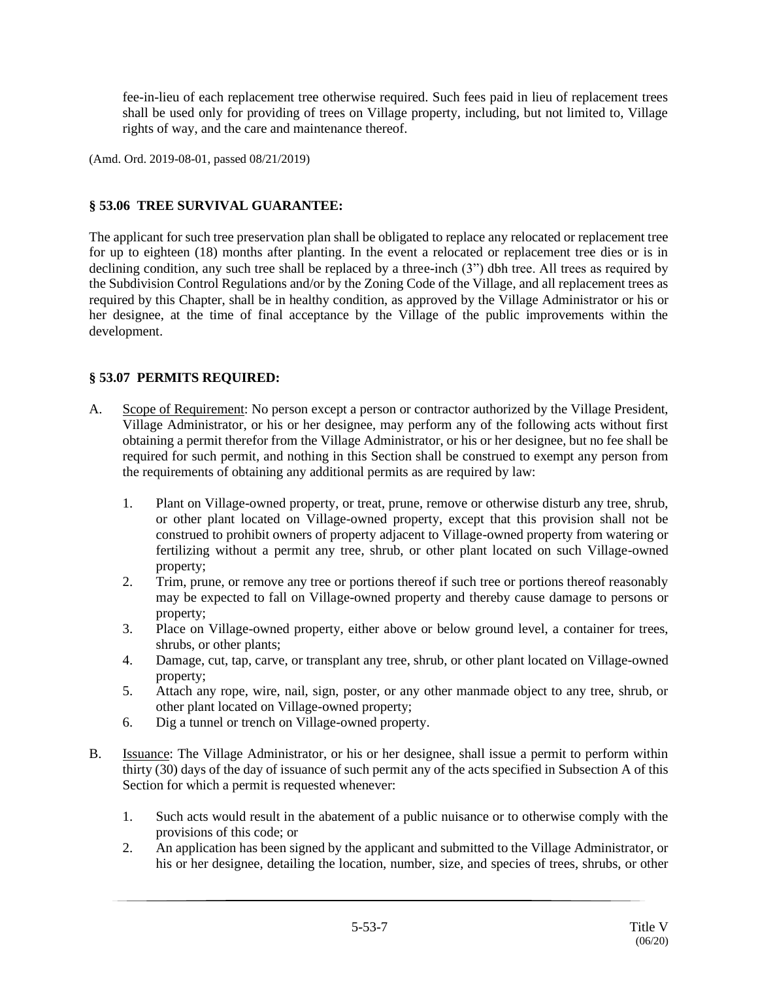fee-in-lieu of each replacement tree otherwise required. Such fees paid in lieu of replacement trees shall be used only for providing of trees on Village property, including, but not limited to, Village rights of way, and the care and maintenance thereof.

(Amd. Ord. 2019-08-01, passed 08/21/2019)

## **§ 53.06 TREE SURVIVAL GUARANTEE:**

The applicant for such tree preservation plan shall be obligated to replace any relocated or replacement tree for up to eighteen (18) months after planting. In the event a relocated or replacement tree dies or is in declining condition, any such tree shall be replaced by a three-inch (3") dbh tree. All trees as required by the Subdivision Control Regulations and/or by the Zoning Code of the Village, and all replacement trees as required by this Chapter, shall be in healthy condition, as approved by the Village Administrator or his or her designee, at the time of final acceptance by the Village of the public improvements within the development.

## **§ 53.07 PERMITS REQUIRED:**

- A. Scope of Requirement: No person except a person or contractor authorized by the Village President, Village Administrator, or his or her designee, may perform any of the following acts without first obtaining a permit therefor from the Village Administrator, or his or her designee, but no fee shall be required for such permit, and nothing in this Section shall be construed to exempt any person from the requirements of obtaining any additional permits as are required by law:
	- 1. Plant on Village-owned property, or treat, prune, remove or otherwise disturb any tree, shrub, or other plant located on Village-owned property, except that this provision shall not be construed to prohibit owners of property adjacent to Village-owned property from watering or fertilizing without a permit any tree, shrub, or other plant located on such Village-owned property;
	- 2. Trim, prune, or remove any tree or portions thereof if such tree or portions thereof reasonably may be expected to fall on Village-owned property and thereby cause damage to persons or property;
	- 3. Place on Village-owned property, either above or below ground level, a container for trees, shrubs, or other plants;
	- 4. Damage, cut, tap, carve, or transplant any tree, shrub, or other plant located on Village-owned property;
	- 5. Attach any rope, wire, nail, sign, poster, or any other manmade object to any tree, shrub, or other plant located on Village-owned property;
	- 6. Dig a tunnel or trench on Village-owned property.
- B. Issuance: The Village Administrator, or his or her designee, shall issue a permit to perform within thirty (30) days of the day of issuance of such permit any of the acts specified in Subsection A of this Section for which a permit is requested whenever:
	- 1. Such acts would result in the abatement of a public nuisance or to otherwise comply with the provisions of this code; or
	- 2. An application has been signed by the applicant and submitted to the Village Administrator, or his or her designee, detailing the location, number, size, and species of trees, shrubs, or other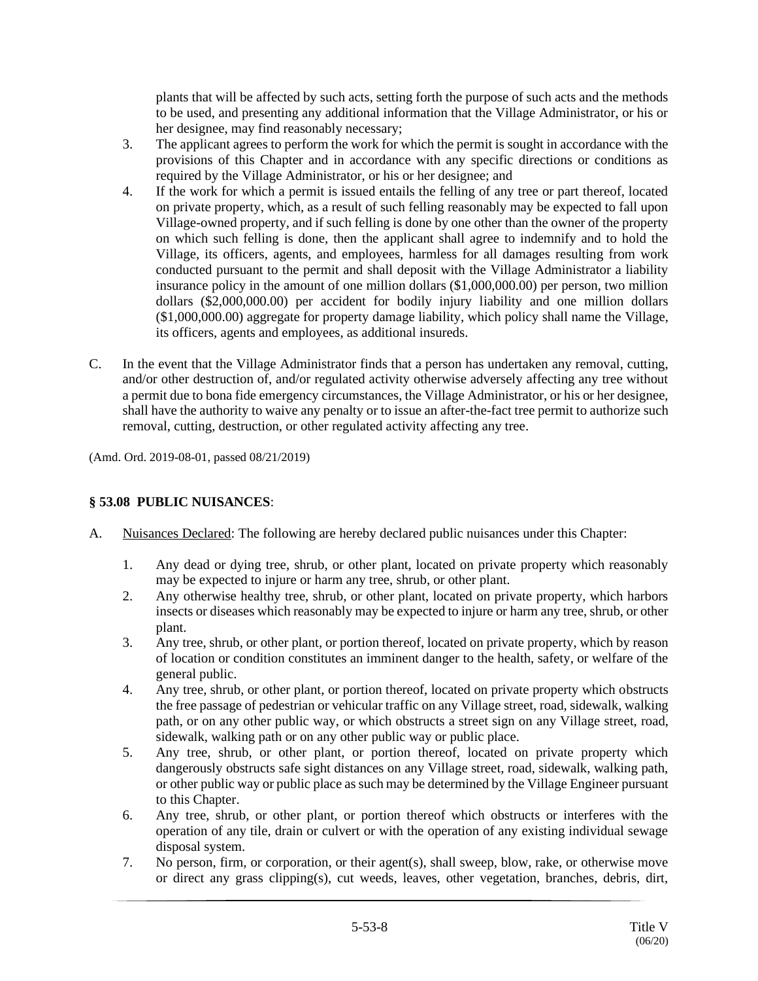plants that will be affected by such acts, setting forth the purpose of such acts and the methods to be used, and presenting any additional information that the Village Administrator, or his or her designee, may find reasonably necessary;

- 3. The applicant agrees to perform the work for which the permit is sought in accordance with the provisions of this Chapter and in accordance with any specific directions or conditions as required by the Village Administrator, or his or her designee; and
- 4. If the work for which a permit is issued entails the felling of any tree or part thereof, located on private property, which, as a result of such felling reasonably may be expected to fall upon Village-owned property, and if such felling is done by one other than the owner of the property on which such felling is done, then the applicant shall agree to indemnify and to hold the Village, its officers, agents, and employees, harmless for all damages resulting from work conducted pursuant to the permit and shall deposit with the Village Administrator a liability insurance policy in the amount of one million dollars (\$1,000,000.00) per person, two million dollars (\$2,000,000.00) per accident for bodily injury liability and one million dollars (\$1,000,000.00) aggregate for property damage liability, which policy shall name the Village, its officers, agents and employees, as additional insureds.
- C. In the event that the Village Administrator finds that a person has undertaken any removal, cutting, and/or other destruction of, and/or regulated activity otherwise adversely affecting any tree without a permit due to bona fide emergency circumstances, the Village Administrator, or his or her designee, shall have the authority to waive any penalty or to issue an after-the-fact tree permit to authorize such removal, cutting, destruction, or other regulated activity affecting any tree.

(Amd. Ord. 2019-08-01, passed 08/21/2019)

## **§ 53.08 PUBLIC NUISANCES**:

- A. Nuisances Declared: The following are hereby declared public nuisances under this Chapter:
	- 1. Any dead or dying tree, shrub, or other plant, located on private property which reasonably may be expected to injure or harm any tree, shrub, or other plant.
	- 2. Any otherwise healthy tree, shrub, or other plant, located on private property, which harbors insects or diseases which reasonably may be expected to injure or harm any tree, shrub, or other plant.
	- 3. Any tree, shrub, or other plant, or portion thereof, located on private property, which by reason of location or condition constitutes an imminent danger to the health, safety, or welfare of the general public.
	- 4. Any tree, shrub, or other plant, or portion thereof, located on private property which obstructs the free passage of pedestrian or vehicular traffic on any Village street, road, sidewalk, walking path, or on any other public way, or which obstructs a street sign on any Village street, road, sidewalk, walking path or on any other public way or public place.
	- 5. Any tree, shrub, or other plant, or portion thereof, located on private property which dangerously obstructs safe sight distances on any Village street, road, sidewalk, walking path, or other public way or public place as such may be determined by the Village Engineer pursuant to this Chapter.
	- 6. Any tree, shrub, or other plant, or portion thereof which obstructs or interferes with the operation of any tile, drain or culvert or with the operation of any existing individual sewage disposal system.
	- 7. No person, firm, or corporation, or their agent(s), shall sweep, blow, rake, or otherwise move or direct any grass clipping(s), cut weeds, leaves, other vegetation, branches, debris, dirt,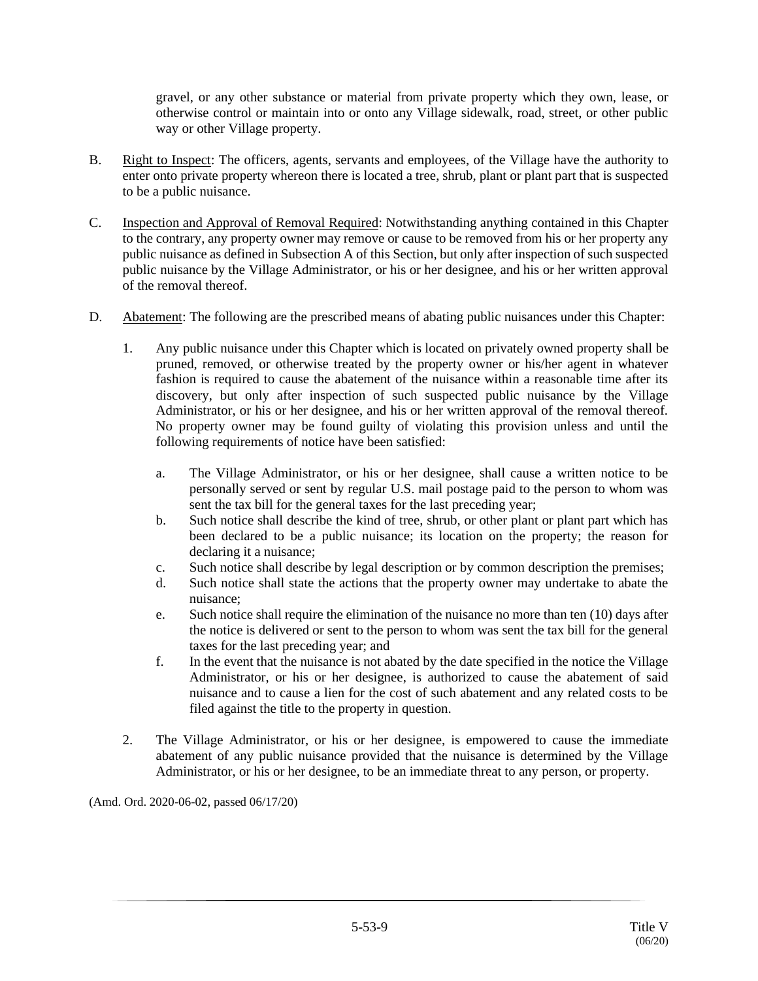gravel, or any other substance or material from private property which they own, lease, or otherwise control or maintain into or onto any Village sidewalk, road, street, or other public way or other Village property.

- B. Right to Inspect: The officers, agents, servants and employees, of the Village have the authority to enter onto private property whereon there is located a tree, shrub, plant or plant part that is suspected to be a public nuisance.
- C. Inspection and Approval of Removal Required: Notwithstanding anything contained in this Chapter to the contrary, any property owner may remove or cause to be removed from his or her property any public nuisance as defined in Subsection A of this Section, but only after inspection of such suspected public nuisance by the Village Administrator, or his or her designee, and his or her written approval of the removal thereof.
- D. Abatement: The following are the prescribed means of abating public nuisances under this Chapter:
	- 1. Any public nuisance under this Chapter which is located on privately owned property shall be pruned, removed, or otherwise treated by the property owner or his/her agent in whatever fashion is required to cause the abatement of the nuisance within a reasonable time after its discovery, but only after inspection of such suspected public nuisance by the Village Administrator, or his or her designee, and his or her written approval of the removal thereof. No property owner may be found guilty of violating this provision unless and until the following requirements of notice have been satisfied:
		- a. The Village Administrator, or his or her designee, shall cause a written notice to be personally served or sent by regular U.S. mail postage paid to the person to whom was sent the tax bill for the general taxes for the last preceding year;
		- b. Such notice shall describe the kind of tree, shrub, or other plant or plant part which has been declared to be a public nuisance; its location on the property; the reason for declaring it a nuisance;
		- c. Such notice shall describe by legal description or by common description the premises;
		- d. Such notice shall state the actions that the property owner may undertake to abate the nuisance;
		- e. Such notice shall require the elimination of the nuisance no more than ten (10) days after the notice is delivered or sent to the person to whom was sent the tax bill for the general taxes for the last preceding year; and
		- f. In the event that the nuisance is not abated by the date specified in the notice the Village Administrator, or his or her designee, is authorized to cause the abatement of said nuisance and to cause a lien for the cost of such abatement and any related costs to be filed against the title to the property in question.
	- 2. The Village Administrator, or his or her designee, is empowered to cause the immediate abatement of any public nuisance provided that the nuisance is determined by the Village Administrator, or his or her designee, to be an immediate threat to any person, or property.

(Amd. Ord. 2020-06-02, passed 06/17/20)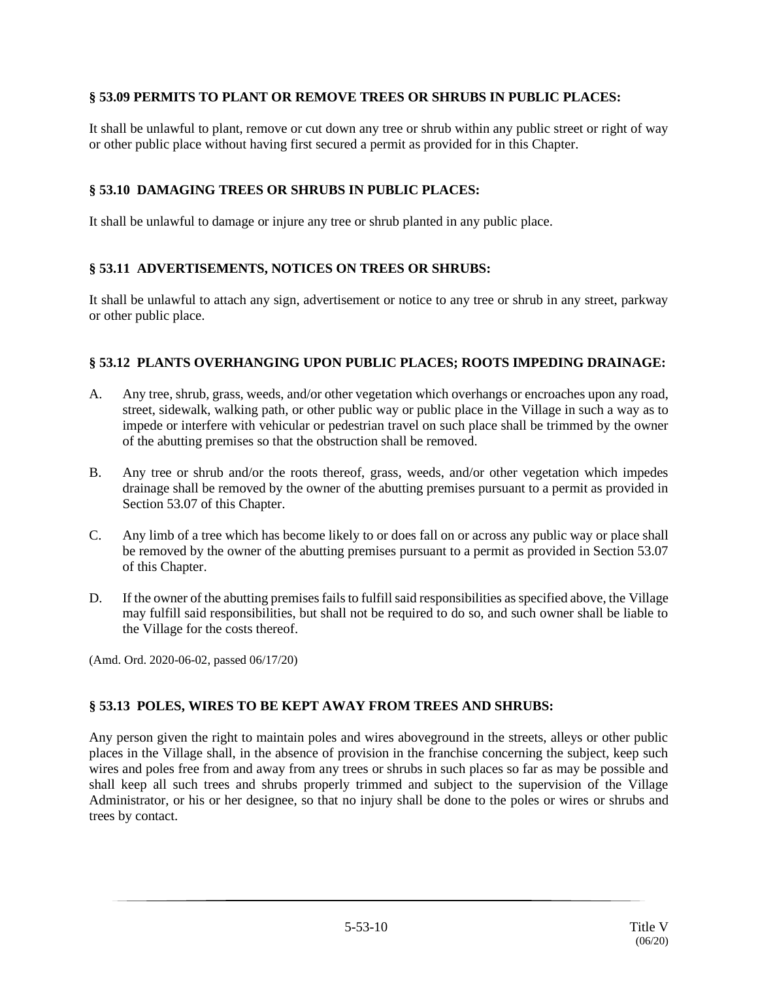## **§ 53.09 PERMITS TO PLANT OR REMOVE TREES OR SHRUBS IN PUBLIC PLACES:**

It shall be unlawful to plant, remove or cut down any tree or shrub within any public street or right of way or other public place without having first secured a permit as provided for in this Chapter.

## **§ 53.10 DAMAGING TREES OR SHRUBS IN PUBLIC PLACES:**

It shall be unlawful to damage or injure any tree or shrub planted in any public place.

## **§ 53.11 ADVERTISEMENTS, NOTICES ON TREES OR SHRUBS:**

It shall be unlawful to attach any sign, advertisement or notice to any tree or shrub in any street, parkway or other public place.

#### **§ 53.12 PLANTS OVERHANGING UPON PUBLIC PLACES; ROOTS IMPEDING DRAINAGE:**

- A. Any tree, shrub, grass, weeds, and/or other vegetation which overhangs or encroaches upon any road, street, sidewalk, walking path, or other public way or public place in the Village in such a way as to impede or interfere with vehicular or pedestrian travel on such place shall be trimmed by the owner of the abutting premises so that the obstruction shall be removed.
- B. Any tree or shrub and/or the roots thereof, grass, weeds, and/or other vegetation which impedes drainage shall be removed by the owner of the abutting premises pursuant to a permit as provided in Section 53.07 of this Chapter.
- C. Any limb of a tree which has become likely to or does fall on or across any public way or place shall be removed by the owner of the abutting premises pursuant to a permit as provided in Section 53.07 of this Chapter.
- D. If the owner of the abutting premises fails to fulfill said responsibilities as specified above, the Village may fulfill said responsibilities, but shall not be required to do so, and such owner shall be liable to the Village for the costs thereof.

(Amd. Ord. 2020-06-02, passed 06/17/20)

## **§ 53.13 POLES, WIRES TO BE KEPT AWAY FROM TREES AND SHRUBS:**

Any person given the right to maintain poles and wires aboveground in the streets, alleys or other public places in the Village shall, in the absence of provision in the franchise concerning the subject, keep such wires and poles free from and away from any trees or shrubs in such places so far as may be possible and shall keep all such trees and shrubs properly trimmed and subject to the supervision of the Village Administrator, or his or her designee, so that no injury shall be done to the poles or wires or shrubs and trees by contact.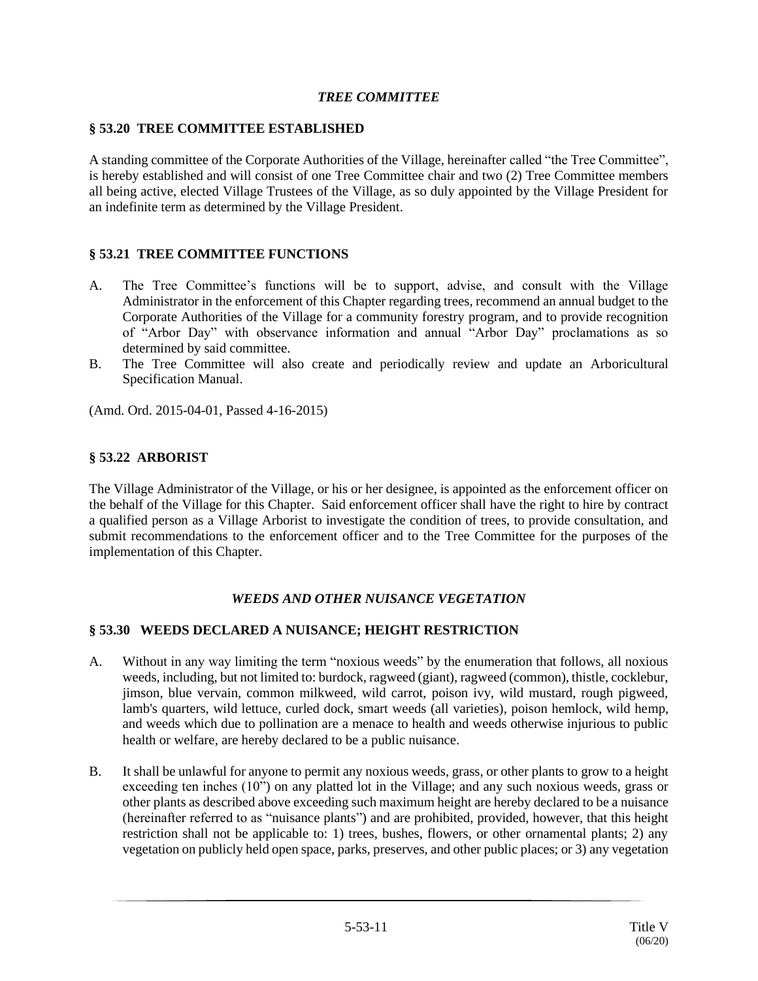## *TREE COMMITTEE*

#### **§ 53.20 TREE COMMITTEE ESTABLISHED**

A standing committee of the Corporate Authorities of the Village, hereinafter called "the Tree Committee", is hereby established and will consist of one Tree Committee chair and two (2) Tree Committee members all being active, elected Village Trustees of the Village, as so duly appointed by the Village President for an indefinite term as determined by the Village President.

#### **§ 53.21 TREE COMMITTEE FUNCTIONS**

- A. The Tree Committee's functions will be to support, advise, and consult with the Village Administrator in the enforcement of this Chapter regarding trees, recommend an annual budget to the Corporate Authorities of the Village for a community forestry program, and to provide recognition of "Arbor Day" with observance information and annual "Arbor Day" proclamations as so determined by said committee.
- B. The Tree Committee will also create and periodically review and update an Arboricultural Specification Manual.

(Amd. Ord. 2015-04-01, Passed 4-16-2015)

#### **§ 53.22 ARBORIST**

The Village Administrator of the Village, or his or her designee, is appointed as the enforcement officer on the behalf of the Village for this Chapter. Said enforcement officer shall have the right to hire by contract a qualified person as a Village Arborist to investigate the condition of trees, to provide consultation, and submit recommendations to the enforcement officer and to the Tree Committee for the purposes of the implementation of this Chapter.

## *WEEDS AND OTHER NUISANCE VEGETATION*

## **§ 53.30 WEEDS DECLARED A NUISANCE; HEIGHT RESTRICTION**

- A. Without in any way limiting the term "noxious weeds" by the enumeration that follows, all noxious weeds, including, but not limited to: burdock, ragweed (giant), ragweed (common), thistle, cocklebur, jimson, blue vervain, common milkweed, wild carrot, poison ivy, wild mustard, rough pigweed, lamb's quarters, wild lettuce, curled dock, smart weeds (all varieties), poison hemlock, wild hemp, and weeds which due to pollination are a menace to health and weeds otherwise injurious to public health or welfare, are hereby declared to be a public nuisance.
- B. It shall be unlawful for anyone to permit any noxious weeds, grass, or other plants to grow to a height exceeding ten inches (10") on any platted lot in the Village; and any such noxious weeds, grass or other plants as described above exceeding such maximum height are hereby declared to be a nuisance (hereinafter referred to as "nuisance plants") and are prohibited, provided, however, that this height restriction shall not be applicable to: 1) trees, bushes, flowers, or other ornamental plants; 2) any vegetation on publicly held open space, parks, preserves, and other public places; or 3) any vegetation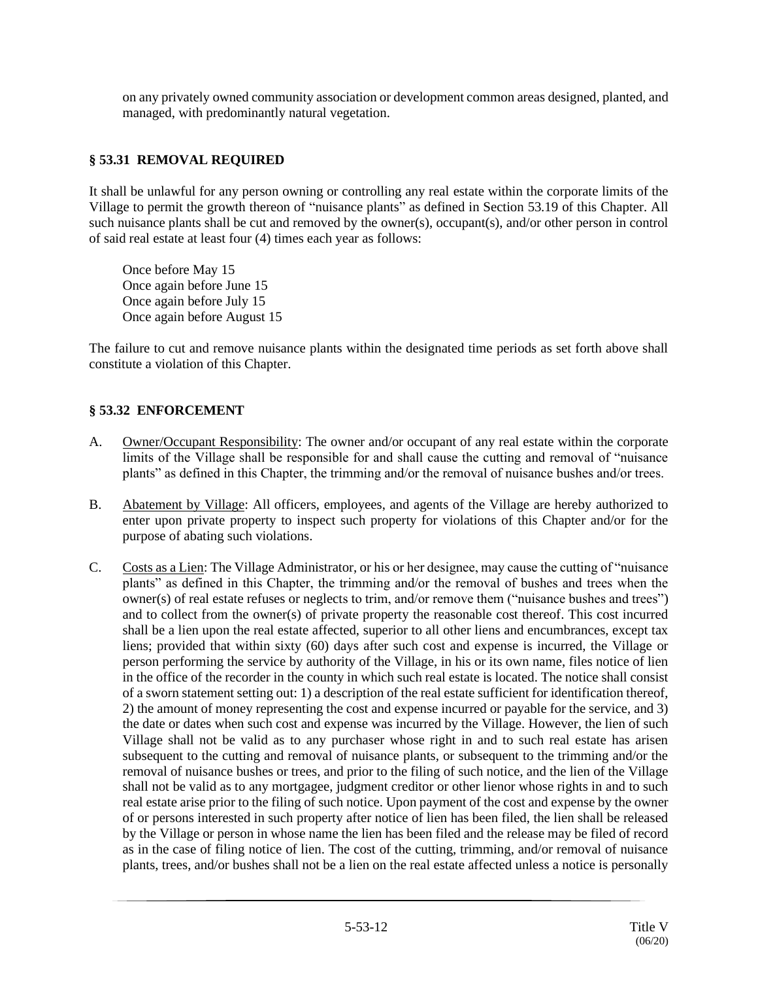on any privately owned community association or development common areas designed, planted, and managed, with predominantly natural vegetation.

# **§ 53.31 REMOVAL REQUIRED**

It shall be unlawful for any person owning or controlling any real estate within the corporate limits of the Village to permit the growth thereon of "nuisance plants" as defined in Section 53.19 of this Chapter. All such nuisance plants shall be cut and removed by the owner(s), occupant(s), and/or other person in control of said real estate at least four (4) times each year as follows:

Once before May 15 Once again before June 15 Once again before July 15 Once again before August 15

The failure to cut and remove nuisance plants within the designated time periods as set forth above shall constitute a violation of this Chapter.

#### **§ 53.32 ENFORCEMENT**

- A. Owner/Occupant Responsibility: The owner and/or occupant of any real estate within the corporate limits of the Village shall be responsible for and shall cause the cutting and removal of "nuisance plants" as defined in this Chapter, the trimming and/or the removal of nuisance bushes and/or trees.
- B. Abatement by Village: All officers, employees, and agents of the Village are hereby authorized to enter upon private property to inspect such property for violations of this Chapter and/or for the purpose of abating such violations.
- C. Costs as a Lien: The Village Administrator, or his or her designee, may cause the cutting of "nuisance plants" as defined in this Chapter, the trimming and/or the removal of bushes and trees when the owner(s) of real estate refuses or neglects to trim, and/or remove them ("nuisance bushes and trees") and to collect from the owner(s) of private property the reasonable cost thereof. This cost incurred shall be a lien upon the real estate affected, superior to all other liens and encumbrances, except tax liens; provided that within sixty (60) days after such cost and expense is incurred, the Village or person performing the service by authority of the Village, in his or its own name, files notice of lien in the office of the recorder in the county in which such real estate is located. The notice shall consist of a sworn statement setting out: 1) a description of the real estate sufficient for identification thereof, 2) the amount of money representing the cost and expense incurred or payable for the service, and 3) the date or dates when such cost and expense was incurred by the Village. However, the lien of such Village shall not be valid as to any purchaser whose right in and to such real estate has arisen subsequent to the cutting and removal of nuisance plants, or subsequent to the trimming and/or the removal of nuisance bushes or trees, and prior to the filing of such notice, and the lien of the Village shall not be valid as to any mortgagee, judgment creditor or other lienor whose rights in and to such real estate arise prior to the filing of such notice. Upon payment of the cost and expense by the owner of or persons interested in such property after notice of lien has been filed, the lien shall be released by the Village or person in whose name the lien has been filed and the release may be filed of record as in the case of filing notice of lien. The cost of the cutting, trimming, and/or removal of nuisance plants, trees, and/or bushes shall not be a lien on the real estate affected unless a notice is personally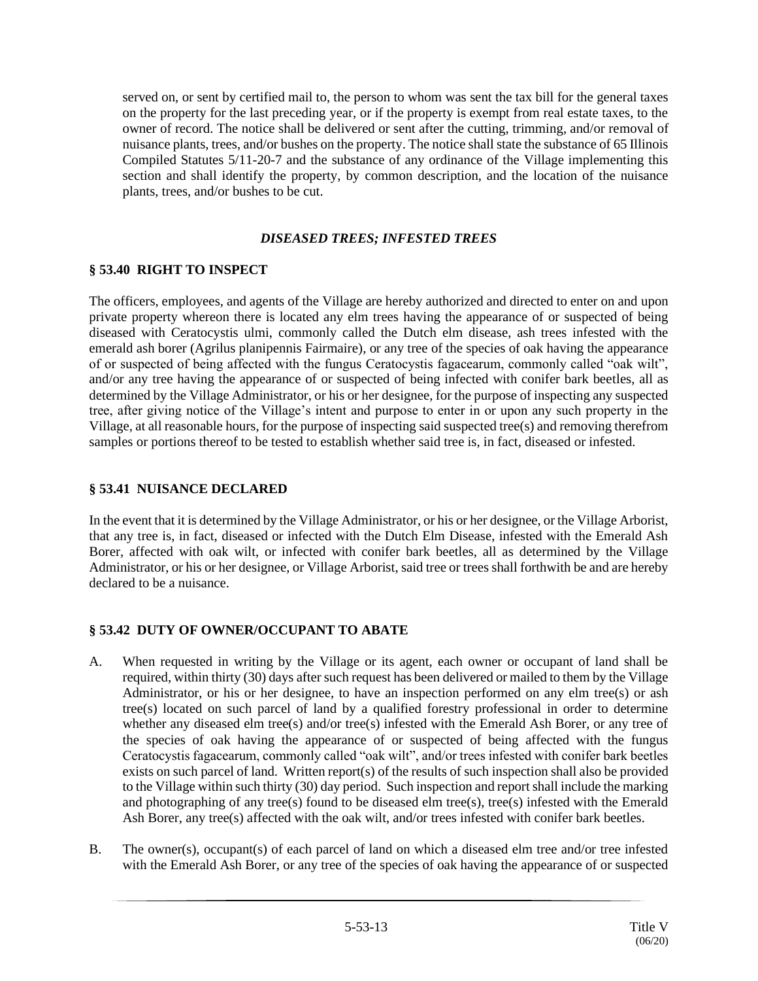served on, or sent by certified mail to, the person to whom was sent the tax bill for the general taxes on the property for the last preceding year, or if the property is exempt from real estate taxes, to the owner of record. The notice shall be delivered or sent after the cutting, trimming, and/or removal of nuisance plants, trees, and/or bushes on the property. The notice shall state the substance of 65 Illinois Compiled Statutes 5/11-20-7 and the substance of any ordinance of the Village implementing this section and shall identify the property, by common description, and the location of the nuisance plants, trees, and/or bushes to be cut.

## *DISEASED TREES; INFESTED TREES*

## **§ 53.40 RIGHT TO INSPECT**

The officers, employees, and agents of the Village are hereby authorized and directed to enter on and upon private property whereon there is located any elm trees having the appearance of or suspected of being diseased with Ceratocystis ulmi, commonly called the Dutch elm disease, ash trees infested with the emerald ash borer (Agrilus planipennis Fairmaire), or any tree of the species of oak having the appearance of or suspected of being affected with the fungus Ceratocystis fagacearum, commonly called "oak wilt", and/or any tree having the appearance of or suspected of being infected with conifer bark beetles, all as determined by the Village Administrator, or his or her designee, for the purpose of inspecting any suspected tree, after giving notice of the Village's intent and purpose to enter in or upon any such property in the Village, at all reasonable hours, for the purpose of inspecting said suspected tree(s) and removing therefrom samples or portions thereof to be tested to establish whether said tree is, in fact, diseased or infested.

#### **§ 53.41 NUISANCE DECLARED**

In the event that it is determined by the Village Administrator, or his or her designee, or the Village Arborist, that any tree is, in fact, diseased or infected with the Dutch Elm Disease, infested with the Emerald Ash Borer, affected with oak wilt, or infected with conifer bark beetles, all as determined by the Village Administrator, or his or her designee, or Village Arborist, said tree or trees shall forthwith be and are hereby declared to be a nuisance.

## **§ 53.42 DUTY OF OWNER/OCCUPANT TO ABATE**

- A. When requested in writing by the Village or its agent, each owner or occupant of land shall be required, within thirty (30) days after such request has been delivered or mailed to them by the Village Administrator, or his or her designee, to have an inspection performed on any elm tree(s) or ash tree(s) located on such parcel of land by a qualified forestry professional in order to determine whether any diseased elm tree(s) and/or tree(s) infested with the Emerald Ash Borer, or any tree of the species of oak having the appearance of or suspected of being affected with the fungus Ceratocystis fagacearum, commonly called "oak wilt", and/or trees infested with conifer bark beetles exists on such parcel of land. Written report(s) of the results of such inspection shall also be provided to the Village within such thirty (30) day period. Such inspection and report shall include the marking and photographing of any tree(s) found to be diseased elm tree(s), tree(s) infested with the Emerald Ash Borer, any tree(s) affected with the oak wilt, and/or trees infested with conifer bark beetles.
- B. The owner(s), occupant(s) of each parcel of land on which a diseased elm tree and/or tree infested with the Emerald Ash Borer, or any tree of the species of oak having the appearance of or suspected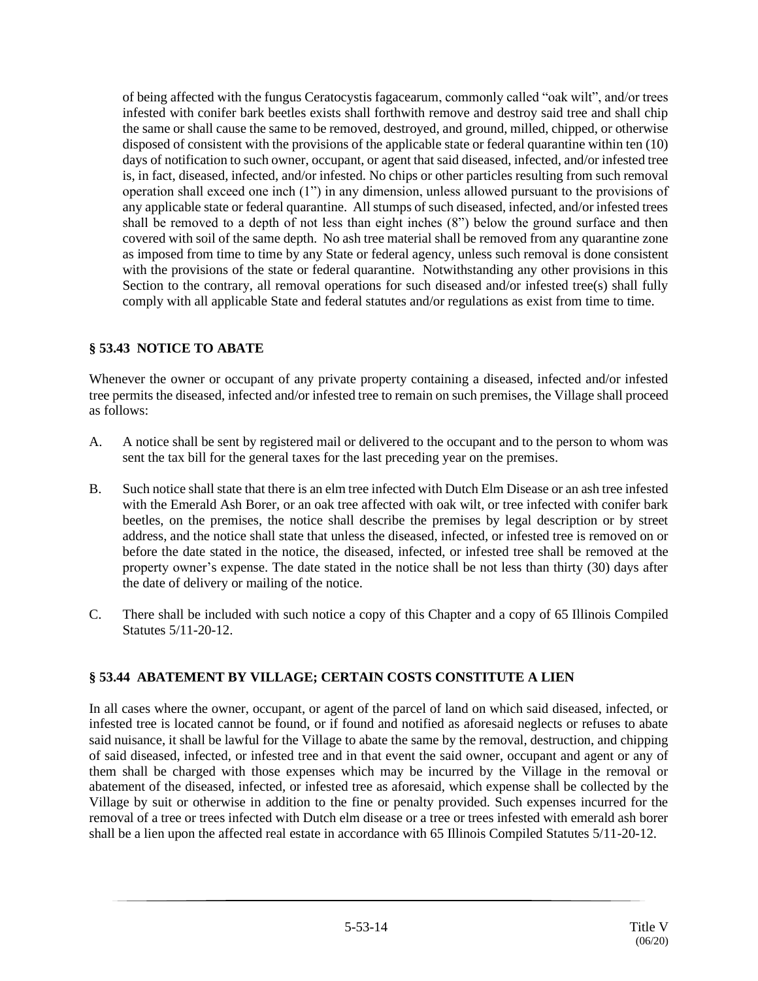of being affected with the fungus Ceratocystis fagacearum, commonly called "oak wilt", and/or trees infested with conifer bark beetles exists shall forthwith remove and destroy said tree and shall chip the same or shall cause the same to be removed, destroyed, and ground, milled, chipped, or otherwise disposed of consistent with the provisions of the applicable state or federal quarantine within ten (10) days of notification to such owner, occupant, or agent that said diseased, infected, and/or infested tree is, in fact, diseased, infected, and/or infested. No chips or other particles resulting from such removal operation shall exceed one inch (1") in any dimension, unless allowed pursuant to the provisions of any applicable state or federal quarantine. All stumps of such diseased, infected, and/or infested trees shall be removed to a depth of not less than eight inches (8") below the ground surface and then covered with soil of the same depth. No ash tree material shall be removed from any quarantine zone as imposed from time to time by any State or federal agency, unless such removal is done consistent with the provisions of the state or federal quarantine. Notwithstanding any other provisions in this Section to the contrary, all removal operations for such diseased and/or infested tree(s) shall fully comply with all applicable State and federal statutes and/or regulations as exist from time to time.

# **§ 53.43 NOTICE TO ABATE**

Whenever the owner or occupant of any private property containing a diseased, infected and/or infested tree permits the diseased, infected and/or infested tree to remain on such premises, the Village shall proceed as follows:

- A. A notice shall be sent by registered mail or delivered to the occupant and to the person to whom was sent the tax bill for the general taxes for the last preceding year on the premises.
- B. Such notice shall state that there is an elm tree infected with Dutch Elm Disease or an ash tree infested with the Emerald Ash Borer, or an oak tree affected with oak wilt, or tree infected with conifer bark beetles, on the premises, the notice shall describe the premises by legal description or by street address, and the notice shall state that unless the diseased, infected, or infested tree is removed on or before the date stated in the notice, the diseased, infected, or infested tree shall be removed at the property owner's expense. The date stated in the notice shall be not less than thirty (30) days after the date of delivery or mailing of the notice.
- C. There shall be included with such notice a copy of this Chapter and a copy of 65 Illinois Compiled Statutes 5/11-20-12.

# **§ 53.44 ABATEMENT BY VILLAGE; CERTAIN COSTS CONSTITUTE A LIEN**

In all cases where the owner, occupant, or agent of the parcel of land on which said diseased, infected, or infested tree is located cannot be found, or if found and notified as aforesaid neglects or refuses to abate said nuisance, it shall be lawful for the Village to abate the same by the removal, destruction, and chipping of said diseased, infected, or infested tree and in that event the said owner, occupant and agent or any of them shall be charged with those expenses which may be incurred by the Village in the removal or abatement of the diseased, infected, or infested tree as aforesaid, which expense shall be collected by the Village by suit or otherwise in addition to the fine or penalty provided. Such expenses incurred for the removal of a tree or trees infected with Dutch elm disease or a tree or trees infested with emerald ash borer shall be a lien upon the affected real estate in accordance with 65 Illinois Compiled Statutes 5/11-20-12.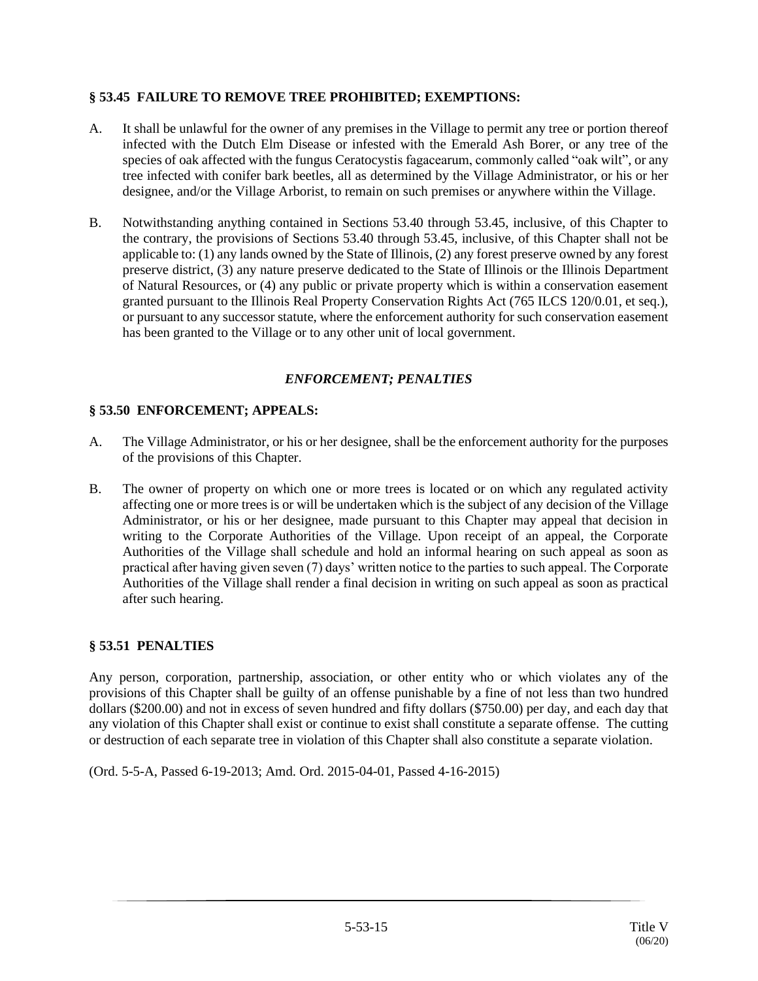## **§ 53.45 FAILURE TO REMOVE TREE PROHIBITED; EXEMPTIONS:**

- A. It shall be unlawful for the owner of any premises in the Village to permit any tree or portion thereof infected with the Dutch Elm Disease or infested with the Emerald Ash Borer, or any tree of the species of oak affected with the fungus Ceratocystis fagacearum, commonly called "oak wilt", or any tree infected with conifer bark beetles, all as determined by the Village Administrator, or his or her designee, and/or the Village Arborist, to remain on such premises or anywhere within the Village.
- B. Notwithstanding anything contained in Sections 53.40 through 53.45, inclusive, of this Chapter to the contrary, the provisions of Sections 53.40 through 53.45, inclusive, of this Chapter shall not be applicable to: (1) any lands owned by the State of Illinois, (2) any forest preserve owned by any forest preserve district, (3) any nature preserve dedicated to the State of Illinois or the Illinois Department of Natural Resources, or (4) any public or private property which is within a conservation easement granted pursuant to the Illinois Real Property Conservation Rights Act (765 ILCS 120/0.01, et seq.), or pursuant to any successor statute, where the enforcement authority for such conservation easement has been granted to the Village or to any other unit of local government.

## *ENFORCEMENT; PENALTIES*

#### **§ 53.50 ENFORCEMENT; APPEALS:**

- A. The Village Administrator, or his or her designee, shall be the enforcement authority for the purposes of the provisions of this Chapter.
- B. The owner of property on which one or more trees is located or on which any regulated activity affecting one or more trees is or will be undertaken which is the subject of any decision of the Village Administrator, or his or her designee, made pursuant to this Chapter may appeal that decision in writing to the Corporate Authorities of the Village. Upon receipt of an appeal, the Corporate Authorities of the Village shall schedule and hold an informal hearing on such appeal as soon as practical after having given seven (7) days' written notice to the parties to such appeal. The Corporate Authorities of the Village shall render a final decision in writing on such appeal as soon as practical after such hearing.

#### **§ 53.51 PENALTIES**

Any person, corporation, partnership, association, or other entity who or which violates any of the provisions of this Chapter shall be guilty of an offense punishable by a fine of not less than two hundred dollars (\$200.00) and not in excess of seven hundred and fifty dollars (\$750.00) per day, and each day that any violation of this Chapter shall exist or continue to exist shall constitute a separate offense. The cutting or destruction of each separate tree in violation of this Chapter shall also constitute a separate violation.

(Ord. 5-5-A, Passed 6-19-2013; Amd. Ord. 2015-04-01, Passed 4-16-2015)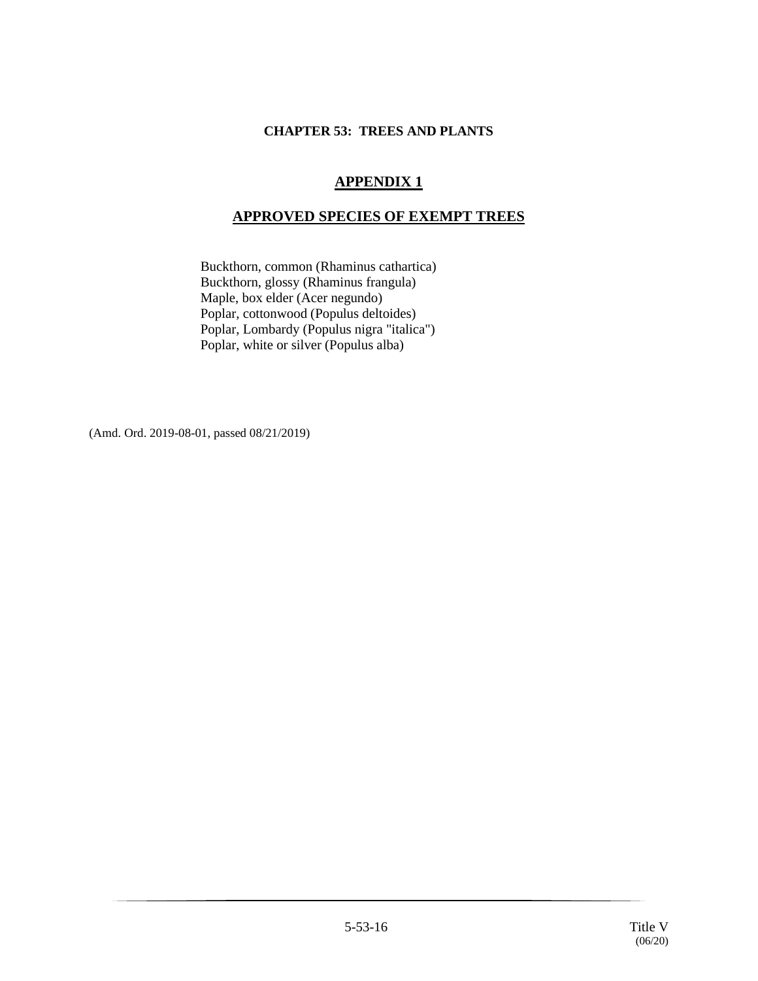## **CHAPTER 53: TREES AND PLANTS**

# **APPENDIX 1**

# **APPROVED SPECIES OF EXEMPT TREES**

Buckthorn, common (Rhaminus cathartica) Buckthorn, glossy (Rhaminus frangula) Maple, box elder (Acer negundo) Poplar, cottonwood (Populus deltoides) Poplar, Lombardy (Populus nigra "italica") Poplar, white or silver (Populus alba)

(Amd. Ord. 2019-08-01, passed 08/21/2019)